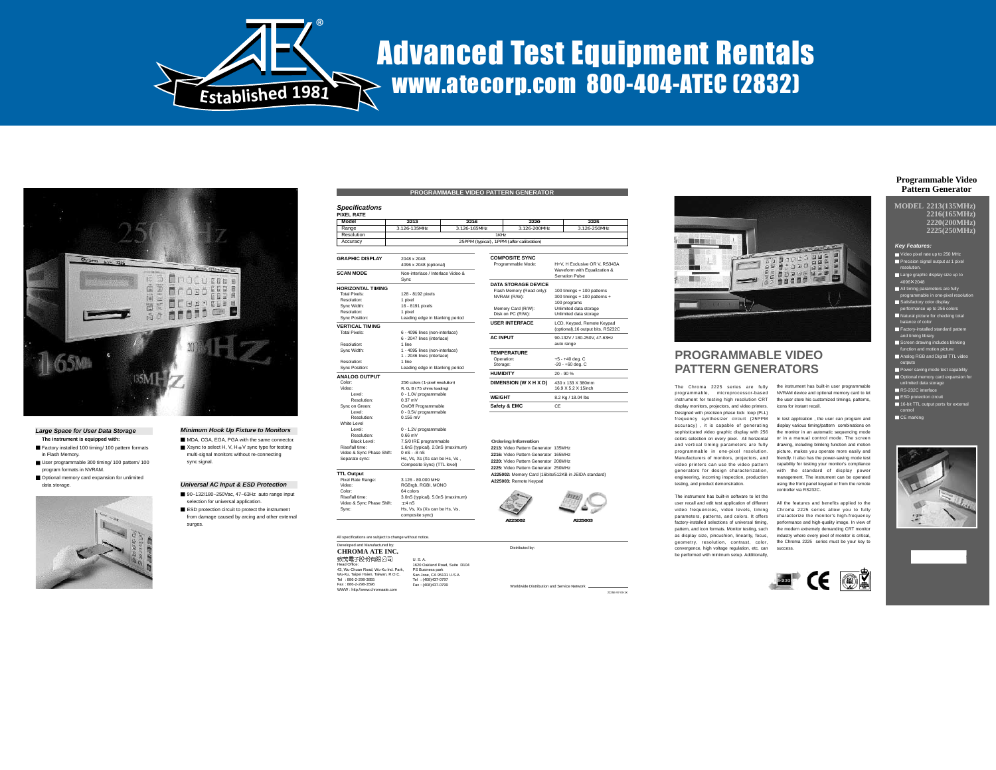

MDA, CGA, EGA, PGA with the same connector.  $\blacksquare$  Xsync to select H, V, H +V sync type for testing multi-signal monitors without re-connecting

**Universal AC Input & ESD Protection** ■ 90~132/180~250Vac, 47~63Hz auto range input selection for universal application. ESD protection circuit to protect the instrument from damage caused by arcing and other external

sync signal.

surges.

## Advanced Test Equipment Rentals www.atecorp.com 800-404-ATEC (2832)



#### **Large Space for User Data Storage The instrument is equipped with:**

- Factory installed 100 timing/ 100 pattern formats in Flash Memory. User programmable 300 timing/ 100 pattern/ 100
- program formats in NVRAM.
- Optional memory card expansion for unlimited data storage.



#### **PROGRAMMABLE VIDEO PATTERN GENERATOR**

#### **Specifications**

| <b>PIXEL RATE</b> |                                           |              |              |              |  |  |  |
|-------------------|-------------------------------------------|--------------|--------------|--------------|--|--|--|
| Model             | 2213                                      | 2216         | 2220         | 2225         |  |  |  |
| Range             | 3 126-135MHz                              | 3 126-165MHz | 3 126-200MHz | 3 126-250MHz |  |  |  |
| Resolution        | 1KH <sub>7</sub>                          |              |              |              |  |  |  |
| Accuracy          | 25PPM (typical), 1PPM (after calibration) |              |              |              |  |  |  |

| <b>GRAPHIC DISPLAY</b>    | 2048 x 2048<br>4096 x 2048 (optional)            |  |  |
|---------------------------|--------------------------------------------------|--|--|
| <b>SCAN MODE</b>          | Non-interlace / Interlace Video &<br>Sync        |  |  |
| <b>HORIZONTAL TIMING</b>  |                                                  |  |  |
| Total Pixels:             | 128 - 8192 pixels                                |  |  |
| Resolution:               | 1 pixel                                          |  |  |
| Sync Width:               | 16 - 8191 pixels                                 |  |  |
| Resolution:               | 1 pixel                                          |  |  |
| Sync Position:            | Leading edge in blanking period                  |  |  |
| <b>VERTICAL TIMING</b>    |                                                  |  |  |
| Total Pixels:             | 6 - 4096 lines (non-interlace)                   |  |  |
|                           | 6 - 2047 lines (interlace)                       |  |  |
| Resolution:               | 1 line                                           |  |  |
| Sync Width:               | 1 - 4095 lines (non-interlace)                   |  |  |
|                           | 1 - 2046 lines (interlace)                       |  |  |
| Resolution:               | 1 line                                           |  |  |
| Sync Position:            | Leading edge in blanking period                  |  |  |
| <b>ANALOG OUTPUT</b>      |                                                  |  |  |
| Color:                    | 256 colors (1-pixel resolution)                  |  |  |
| Video:                    | R, G, B (75 ohms loading)                        |  |  |
| I evel:                   | 0 - 1.0V programmable                            |  |  |
| Resolution:               | $0.37$ mV                                        |  |  |
| Sync on Green:            | On/Off Programmable                              |  |  |
| I evel:                   | 0 - 0.5V programmable                            |  |  |
| Resolution:               | $0.156$ mV                                       |  |  |
| White Level               |                                                  |  |  |
| l evel:                   | 0 - 1.2V programmable                            |  |  |
| Resolution:               | $0.66$ mV                                        |  |  |
| Black Level:              | 7.5/0 IRE programmable                           |  |  |
| Rise/fall time:           | 1.6nS (typical), 2.0nS (maximum)                 |  |  |
| Video & Sync Phase Shift: | $0.05 - 8.05$                                    |  |  |
| Separate sync:            | Hs. Vs. Xs (Xs can be Hs. Vs.                    |  |  |
|                           | Composite Sync) (TTL level)                      |  |  |
| <b>TTL Output</b>         |                                                  |  |  |
| Pixel Rate Range:         | 3.126 - 80.000 MHz                               |  |  |
| Video:                    | RGBrgb, RGBI, MONO                               |  |  |
| Color:                    | 64 colors                                        |  |  |
| Rise/fall time:           | 3.0nS (typical), 5.0nS (maximum)                 |  |  |
| Video & Sync Phase Shift: | ±4nS                                             |  |  |
| Sync:                     | Hs, Vs, Xs (Xs can be Hs, Vs,<br>composite sync) |  |  |

All specifications are subject to change without notice.

| Developed and Manufactured by:      |                    |
|-------------------------------------|--------------------|
| CHROMA ATE INC.                     |                    |
| 致茂電子股份有限公司                          | <b>U.S.A.</b>      |
| Head Office:                        | 1620 Oakland Road  |
| 43. Wu-Chuan Road, Wu-Ku Ind, Park, | PS Business park   |
| Wu-Ku, Taipei Hsien, Taiwan, R.O.C. | San Jose, CA 95131 |
| Tel: 886-2-298-3855                 | Tel: (408)437-0797 |
| Fax: 886-2-298-3596                 | Fax: (408)437-0799 |
| WWW: http://www.chromaate.com       |                    |

|                                      | 22.ZU                                |                            | 2223                              |  |  |
|--------------------------------------|--------------------------------------|----------------------------|-----------------------------------|--|--|
|                                      | 3126-200MHz                          |                            | 3.126-250MHz                      |  |  |
| 1KH <sub>7</sub>                     |                                      |                            |                                   |  |  |
|                                      | al). 1PPM (after calibration)        |                            |                                   |  |  |
|                                      |                                      |                            |                                   |  |  |
|                                      | <b>COMPOSITE SYNC</b>                |                            |                                   |  |  |
| Programmable Mode:                   |                                      |                            | H+V. H Exclusive OR V. RS343A     |  |  |
|                                      |                                      |                            | Waveform with Equalization &      |  |  |
|                                      |                                      |                            | Serration Pulse                   |  |  |
|                                      | <b>DATA STORAGE DEVICE</b>           |                            |                                   |  |  |
|                                      | Flash Memory (Read only):            | 100 timings + 100 patterns |                                   |  |  |
|                                      | NVRAM (R/W):                         |                            | 300 timings + 100 patterns +      |  |  |
|                                      |                                      |                            | 100 programs                      |  |  |
|                                      | Memory Card (R/W):                   | Unlimited data storage     |                                   |  |  |
|                                      | Disk on PC (R/W):                    | Unlimited data storage     |                                   |  |  |
| <b>USER INTERFACE</b>                |                                      |                            | LCD, Keypad, Remote Keypad        |  |  |
|                                      |                                      |                            | (optional).16 output bits, RS232C |  |  |
| <b>AC INPUT</b>                      |                                      |                            | 90-132V / 180-250V, 47-63Hz       |  |  |
|                                      |                                      |                            | auto range                        |  |  |
|                                      | <b>TEMPERATURE</b>                   |                            |                                   |  |  |
|                                      | Operation:                           | $+5 - +40$ deg. $C$        |                                   |  |  |
| Storage:                             |                                      |                            | $-20 + 60$ deg. $C$               |  |  |
| <b>HUMIDITY</b>                      |                                      | $20 - 90 %$                |                                   |  |  |
|                                      | DIMENSION (W X H X D)                |                            | 430 x 133 X 380mm                 |  |  |
|                                      |                                      |                            | 16.9 X 5.2 X 15inch               |  |  |
| <b>WEIGHT</b>                        |                                      |                            | 8.2 Kg / 18.04 lbs                |  |  |
|                                      | Safety & EMC                         | CE                         |                                   |  |  |
|                                      |                                      |                            |                                   |  |  |
|                                      | Ordering Information                 |                            |                                   |  |  |
|                                      | 2213: Video Pattern Generator 135MHz |                            |                                   |  |  |
| 2216: Video Pattern Generator 165MHz |                                      |                            |                                   |  |  |
| 2220: Video Pattern Generator 200MHz |                                      |                            |                                   |  |  |
|                                      |                                      |                            |                                   |  |  |
| 2225: Video Pattern Generator 250MHz |                                      |                            |                                   |  |  |



20ad, Suite D104 PS Business park San Jose, CA 95131 U.S.A.

**A225002 A225003**

**A225002:** Memory Card (16bits/512KB in JEIDA standard)

**A225003:** Remote Keypad

Distributed by:

wide Distribution and Service N

2225E-97-09-1K



controller via RS232C. sophisticated video graphic display with 256 colors selection on every pixel. All horizontal and vertical timing parameters are fully programmable in one-pixel resolution. Manufacturers of monitors, projectors, and video printers can use the video pattern generators for design characterization, engineering, incoming inspection, production testing, and product demonstration.

The instrument has built-in software to let the user recall and edit test application of different video frequencies, video levels, timing parameters, patterns, and colors. It offers factory-installed selections of universal timing, pattern, and icon formats. Monitor testing, such as display size, pincushion, linearity, focus, geometry, resolution, contrast, color, convergence, high voltage regulation, etc. can be performed with minimum setup. Additionally,



### **PATTERN GENERATORS**

NVRAM device and optional memory card to let the user store his customized timings, patterns, icons for instant recall. In test application , the user can program and display various timing/pattern combinations on the monitor in an automatic sequencing mode or in a manual control mode. The screen drawing, including blinking function and motion picture, makes you operate more easily and friendly. It also has the power-saving mode test capability for testing your monitor's compliance with the standard of display power management. The instrument can be operated using the front panel keypad or from the remote

All the features and benefits applied to the Chroma 2225 series allow you to fully characterize the monitor's high-frequency performance and high-quality image. In view of the modern extremely demanding CRT monitor industry where every pixel of monitor is critical, the Chroma 2225 series must be your key to success.



#### **Programmable Video Pattern Generator**

**MODEL 2213(135MHz) 2216(165MHz) 2220(200MHz) 2225(250MHz)**

**Key Fe** 

Video pixel rate up to 250 MHz Precision signal output at 1 pixel resolution.

Large graphic display size up to

4096 2048 a parameters are full

programmable in one-pixel resolution  $e$  up to  $256$  co

- Natural picture for checking total balance of color
- Factory-installed standard pattern
- and timing library Screen drawing includes blinking
- function and motion picture Analog RGB and Digital TTL video outputs Power saving mode test capability
- Optional memory card expansion for unlimited data storage
	- RS-232C interface ESD protection circuit  $16$ -bit TT
- 

CE marking